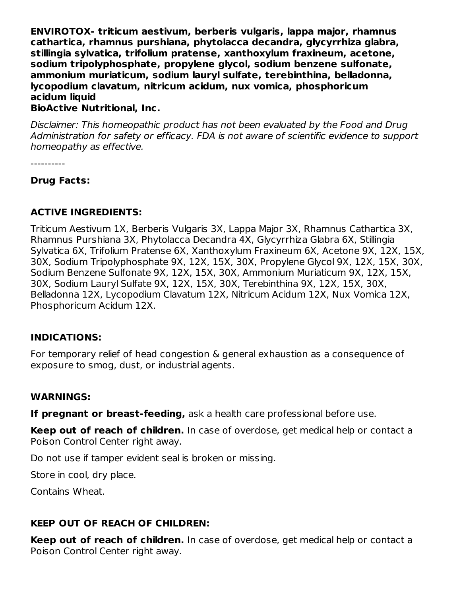**ENVIROTOX- triticum aestivum, berberis vulgaris, lappa major, rhamnus cathartica, rhamnus purshiana, phytolacca decandra, glycyrrhiza glabra, stillingia sylvatica, trifolium pratense, xanthoxylum fraxineum, acetone, sodium tripolyphosphate, propylene glycol, sodium benzene sulfonate, ammonium muriaticum, sodium lauryl sulfate, terebinthina, belladonna, lycopodium clavatum, nitricum acidum, nux vomica, phosphoricum acidum liquid**

#### **BioActive Nutritional, Inc.**

Disclaimer: This homeopathic product has not been evaluated by the Food and Drug Administration for safety or efficacy. FDA is not aware of scientific evidence to support homeopathy as effective.

----------

#### **Drug Facts:**

## **ACTIVE INGREDIENTS:**

Triticum Aestivum 1X, Berberis Vulgaris 3X, Lappa Major 3X, Rhamnus Cathartica 3X, Rhamnus Purshiana 3X, Phytolacca Decandra 4X, Glycyrrhiza Glabra 6X, Stillingia Sylvatica 6X, Trifolium Pratense 6X, Xanthoxylum Fraxineum 6X, Acetone 9X, 12X, 15X, 30X, Sodium Tripolyphosphate 9X, 12X, 15X, 30X, Propylene Glycol 9X, 12X, 15X, 30X, Sodium Benzene Sulfonate 9X, 12X, 15X, 30X, Ammonium Muriaticum 9X, 12X, 15X, 30X, Sodium Lauryl Sulfate 9X, 12X, 15X, 30X, Terebinthina 9X, 12X, 15X, 30X, Belladonna 12X, Lycopodium Clavatum 12X, Nitricum Acidum 12X, Nux Vomica 12X, Phosphoricum Acidum 12X.

## **INDICATIONS:**

For temporary relief of head congestion & general exhaustion as a consequence of exposure to smog, dust, or industrial agents.

#### **WARNINGS:**

**If pregnant or breast-feeding,** ask a health care professional before use.

**Keep out of reach of children.** In case of overdose, get medical help or contact a Poison Control Center right away.

Do not use if tamper evident seal is broken or missing.

Store in cool, dry place.

Contains Wheat.

## **KEEP OUT OF REACH OF CHILDREN:**

**Keep out of reach of children.** In case of overdose, get medical help or contact a Poison Control Center right away.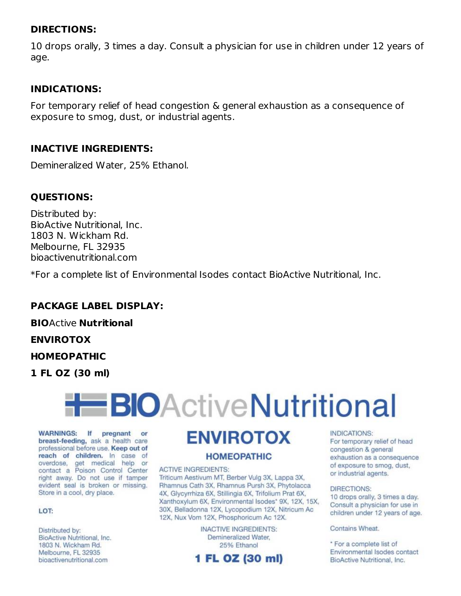#### **DIRECTIONS:**

10 drops orally, 3 times a day. Consult a physician for use in children under 12 years of age.

#### **INDICATIONS:**

For temporary relief of head congestion & general exhaustion as a consequence of exposure to smog, dust, or industrial agents.

#### **INACTIVE INGREDIENTS:**

Demineralized Water, 25% Ethanol.

## **QUESTIONS:**

Distributed by: BioActive Nutritional, Inc. 1803 N. Wickham Rd. Melbourne, FL 32935 bioactivenutritional.com

\*For a complete list of Environmental Isodes contact BioActive Nutritional, Inc.

## **PACKAGE LABEL DISPLAY:**

**BIO**Active **Nutritional**

**ENVIROTOX**

#### **HOMEOPATHIC**

**1 FL OZ (30 ml)**



WARNINGS: If pregnant or breast-feeding, ask a health care professional before use. Keep out of reach of children. In case of overdose, get medical help or contact a Poison Control Center right away. Do not use if tamper evident seal is broken or missing. Store in a cool, dry place.

#### LOT:

Distributed by: BioActive Nutritional, Inc. 1803 N. Wickham Rd. Melbourne, FL 32935 bioactivenutritional.com

# **ENVIROTOX**

#### **HOMEOPATHIC**

#### **ACTIVE INGREDIENTS:**

Triticum Aestivum MT, Berber Vulg 3X, Lappa 3X, Rhamnus Cath 3X, Rhamnus Pursh 3X, Phytolacca 4X, Glycyrrhiza 6X, Stillingia 6X, Trifolium Prat 6X, Xanthoxylum 6X, Environmental Isodes\* 9X, 12X, 15X, 30X, Belladonna 12X, Lycopodium 12X, Nitricum Ac 12X, Nux Vom 12X, Phosphoricum Ac 12X.

> **INACTIVE INGREDIENTS:** Demineralized Water, 25% Ethanol

# 1 FL OZ (30 ml)

#### INDICATIONS:

For temporary relief of head congestion & general exhaustion as a consequence of exposure to smog, dust, or industrial agents.

#### **DIRECTIONS:**

10 drops orally, 3 times a day. Consult a physician for use in children under 12 years of age.

Contains Wheat.

\* For a complete list of Environmental Isodes contact BioActive Nutritional, Inc.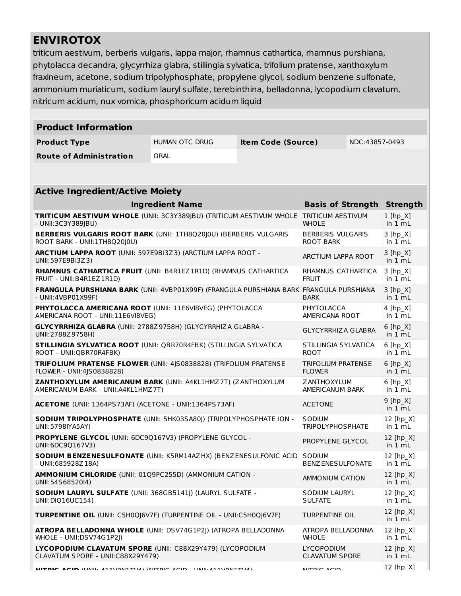# **ENVIROTOX**

triticum aestivum, berberis vulgaris, lappa major, rhamnus cathartica, rhamnus purshiana, phytolacca decandra, glycyrrhiza glabra, stillingia sylvatica, trifolium pratense, xanthoxylum fraxineum, acetone, sodium tripolyphosphate, propylene glycol, sodium benzene sulfonate, ammonium muriaticum, sodium lauryl sulfate, terebinthina, belladonna, lycopodium clavatum, nitricum acidum, nux vomica, phosphoricum acidum liquid

| <b>Product Information</b>                                                                                                                         |                           |                           |                                            |                                                    |                                     |  |  |  |  |
|----------------------------------------------------------------------------------------------------------------------------------------------------|---------------------------|---------------------------|--------------------------------------------|----------------------------------------------------|-------------------------------------|--|--|--|--|
| <b>Product Type</b>                                                                                                                                | HUMAN OTC DRUG            | <b>Item Code (Source)</b> | NDC:43857-0493                             |                                                    |                                     |  |  |  |  |
| <b>Route of Administration</b>                                                                                                                     | ORAL                      |                           |                                            |                                                    |                                     |  |  |  |  |
|                                                                                                                                                    |                           |                           |                                            |                                                    |                                     |  |  |  |  |
| <b>Active Ingredient/Active Moiety</b>                                                                                                             |                           |                           |                                            |                                                    |                                     |  |  |  |  |
|                                                                                                                                                    | <b>Ingredient Name</b>    |                           | <b>Basis of Strength</b>                   |                                                    | <b>Strength</b>                     |  |  |  |  |
| TRITICUM AESTIVUM WHOLE (UNII: 3C3Y389 BU) (TRITICUM AESTIVUM WHOLE TRITICUM AESTIVUM<br>- UNII:3C3Y389JBU)                                        | <b>WHOLE</b>              |                           | $1$ [hp_X]<br>in 1 mL                      |                                                    |                                     |  |  |  |  |
| <b>BERBERIS VULGARIS ROOT BARK (UNII: 1TH8Q20J0U) (BERBERIS VULGARIS</b><br><b>BERBERIS VULGARIS</b><br>ROOT BARK - UNII: 1TH8Q20J0U)<br>ROOT BARK |                           |                           |                                            |                                                    | $3 [hp_X]$<br>in $1 \text{ mL}$     |  |  |  |  |
| ARCTIUM LAPPA ROOT (UNII: 597E9BI3Z3) (ARCTIUM LAPPA ROOT -<br>ARCTIUM LAPPA ROOT<br>UNII:597E9BI3Z3)                                              |                           |                           |                                            |                                                    | $3 [hp_X]$<br>in 1 mL               |  |  |  |  |
| RHAMNUS CATHARTICA FRUIT (UNII: B4R1EZ1R1D) (RHAMNUS CATHARTICA<br>RHAMNUS CATHARTICA<br>FRUIT - UNII: B4R1EZ 1R1D)<br><b>FRUIT</b>                |                           |                           |                                            |                                                    | $3 [hp_X]$<br>in $1 \text{ mL}$     |  |  |  |  |
| <b>FRANGULA PURSHIANA BARK (UNII: 4VBP01X99F) (FRANGULA PURSHIANA BARK FRANGULA PURSHIANA</b><br>- UNII:4VBP01X99F)<br><b>BARK</b>                 |                           |                           |                                            |                                                    | $3 [hp_X]$<br>in $1 mL$             |  |  |  |  |
| PHYTOLACCA AMERICANA ROOT (UNII: 11E6VI8VEG) (PHYTOLACCA<br>PHYTOLACCA<br>AMERICANA ROOT - UNII:11E6VI8VEG)<br>AMERICANA ROOT                      |                           |                           |                                            |                                                    | $4$ [hp $X$ ]<br>in 1 mL            |  |  |  |  |
| <b>GLYCYRRHIZA GLABRA (UNII: 2788Z9758H) (GLYCYRRHIZA GLABRA -</b><br>UNII:2788Z9758H)                                                             | <b>GLYCYRRHIZA GLABRA</b> |                           | $6$ [hp_X]<br>in 1 mL                      |                                                    |                                     |  |  |  |  |
| STILLINGIA SYLVATICA ROOT (UNII: QBR70R4FBK) (STILLINGIA SYLVATICA<br>STILLINGIA SYLVATICA<br>ROOT - UNII:QBR70R4FBK)<br><b>ROOT</b>               |                           |                           |                                            |                                                    | $6$ [hp_X]<br>in $1 \text{ mL}$     |  |  |  |  |
| TRIFOLIUM PRATENSE FLOWER (UNII: 4JS0838828) (TRIFOLIUM PRATENSE<br>TRIFOLIUM PRATENSE<br><b>FLOWER</b><br>FLOWER - UNII:4JS0838828)               |                           |                           |                                            |                                                    | $6$ [hp_X]<br>in 1 mL               |  |  |  |  |
| ZANTHOXYLUM AMERICANUM BARK (UNII: A4KL1HMZ7T) (ZANTHOXYLUM<br><b>ZANTHOXYLUM</b><br>AMERICANUM BARK - UNII: A4KL1HMZ 7T)<br>AMERICANUM BARK       |                           |                           |                                            |                                                    | $6$ [hp $X$ ]<br>in 1 mL            |  |  |  |  |
| ACETONE (UNII: 1364PS73AF) (ACETONE - UNII:1364PS73AF)<br><b>ACETONE</b>                                                                           |                           |                           |                                            |                                                    | $9$ [hp $X$ ]<br>in 1 mL            |  |  |  |  |
| SODIUM TRIPOLYPHOSPHATE (UNII: 5HK03SA80)) (TRIPOLYPHOSPHATE ION -<br>UNII:5798IYA5AY)                                                             |                           |                           | SODIUM<br><b>TRIPOLYPHOSPHATE</b>          |                                                    | 12 [hp X]<br>in 1 mL                |  |  |  |  |
| PROPYLENE GLYCOL (UNII: 6DC9Q167V3) (PROPYLENE GLYCOL -<br>UNII:6DC9Q167V3)                                                                        |                           |                           |                                            | 12 [hp X]<br>PROPYLENE GLYCOL<br>in $1 \text{ mL}$ |                                     |  |  |  |  |
| SODIUM BENZENESULFONATE (UNII: K5RM14AZ HX) (BENZENESULFONIC ACID   SODIUM<br>- UNII:685928Z18A)                                                   |                           |                           | <b>BENZ ENESULFONATE</b>                   |                                                    | 12 [hp_X]<br>in $1 \text{ mL}$      |  |  |  |  |
| AMMONIUM CHLORIDE (UNII: 01Q9PC255D) (AMMONIUM CATION -<br>UNII:54S68520I4)                                                                        |                           |                           | AMMONIUM CATION                            |                                                    | 12 [hp_X]<br>in $1 \text{ mL}$      |  |  |  |  |
| <b>SODIUM LAURYL SULFATE (UNII: 368GB5141J) (LAURYL SULFATE -</b><br>UNII:DIQ16UC154)                                                              |                           |                           | SODIUM LAURYL<br><b>SULFATE</b>            |                                                    | $12$ [hp $X$ ]<br>in $1 \text{ mL}$ |  |  |  |  |
| <b>TURPENTINE OIL (UNII: C5H0QJ6V7F) (TURPENTINE OIL - UNII:C5H0QJ6V7F)</b>                                                                        |                           |                           | TURPENTINE OIL                             |                                                    | 12 [hp X]<br>in $1 \text{ mL}$      |  |  |  |  |
| ATROPA BELLADONNA WHOLE (UNII: DSV74G1P2J) (ATROPA BELLADONNA<br>ATROPA BELLADONNA<br>WHOLE - UNII:DSV74G1P2J)<br><b>WHOLE</b>                     |                           |                           |                                            |                                                    | 12 $[hp_X]$<br>in $1 \text{ mL}$    |  |  |  |  |
| LYCOPODIUM CLAVATUM SPORE (UNII: C88X29Y479) (LYCOPODIUM<br>CLAVATUM SPORE - UNII:C88X29Y479)                                                      |                           |                           | <b>LYCOPODIUM</b><br><b>CLAVATUM SPORE</b> |                                                    | 12 [hp X]<br>in $1 \text{ mL}$      |  |  |  |  |
|                                                                                                                                                    |                           |                           |                                            |                                                    |                                     |  |  |  |  |